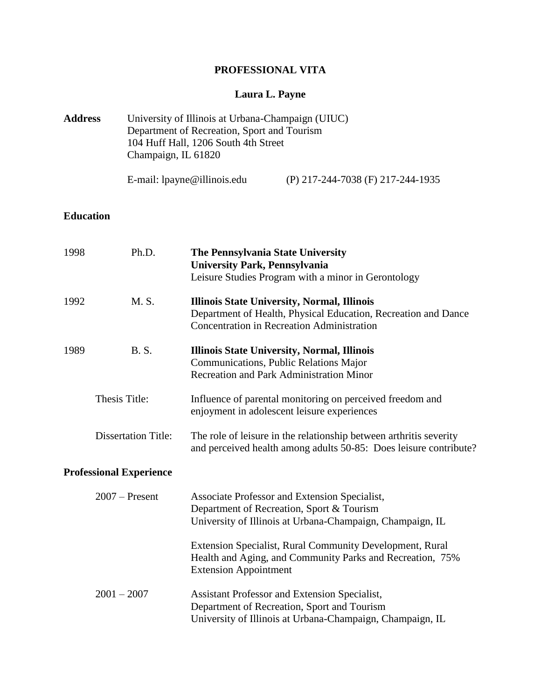# **PROFESSIONAL VITA**

# **Laura L. Payne**

| <b>Address</b>             |                                | University of Illinois at Urbana-Champaign (UIUC)<br>Department of Recreation, Sport and Tourism<br>104 Huff Hall, 1206 South 4th Street<br>Champaign, IL 61820 |                                                                                                                                                                           |  |
|----------------------------|--------------------------------|-----------------------------------------------------------------------------------------------------------------------------------------------------------------|---------------------------------------------------------------------------------------------------------------------------------------------------------------------------|--|
|                            |                                | E-mail: lpayne@illinois.edu                                                                                                                                     | (P) 217-244-7038 (F) 217-244-1935                                                                                                                                         |  |
| <b>Education</b>           |                                |                                                                                                                                                                 |                                                                                                                                                                           |  |
| 1998                       | Ph.D.                          | The Pennsylvania State University<br><b>University Park, Pennsylvania</b>                                                                                       | Leisure Studies Program with a minor in Gerontology                                                                                                                       |  |
| 1992                       | M. S.                          |                                                                                                                                                                 | <b>Illinois State University, Normal, Illinois</b><br>Department of Health, Physical Education, Recreation and Dance<br><b>Concentration in Recreation Administration</b> |  |
| 1989                       | <b>B.S.</b>                    |                                                                                                                                                                 | <b>Illinois State University, Normal, Illinois</b><br>Communications, Public Relations Major<br><b>Recreation and Park Administration Minor</b>                           |  |
|                            | Thesis Title:                  |                                                                                                                                                                 | Influence of parental monitoring on perceived freedom and<br>enjoyment in adolescent leisure experiences                                                                  |  |
| <b>Dissertation Title:</b> |                                | The role of leisure in the relationship between arthritis severity<br>and perceived health among adults 50-85: Does leisure contribute?                         |                                                                                                                                                                           |  |
|                            | <b>Professional Experience</b> |                                                                                                                                                                 |                                                                                                                                                                           |  |
|                            | $2007$ – Present               |                                                                                                                                                                 | Associate Professor and Extension Specialist,<br>Department of Recreation, Sport & Tourism<br>University of Illinois at Urbana-Champaign, Champaign, IL                   |  |
|                            |                                | <b>Extension Appointment</b>                                                                                                                                    | Extension Specialist, Rural Community Development, Rural<br>Health and Aging, and Community Parks and Recreation, 75%                                                     |  |
|                            | $2001 - 2007$                  |                                                                                                                                                                 | Assistant Professor and Extension Specialist,<br>Department of Recreation, Sport and Tourism<br>University of Illinois at Urbana-Champaign, Champaign, IL                 |  |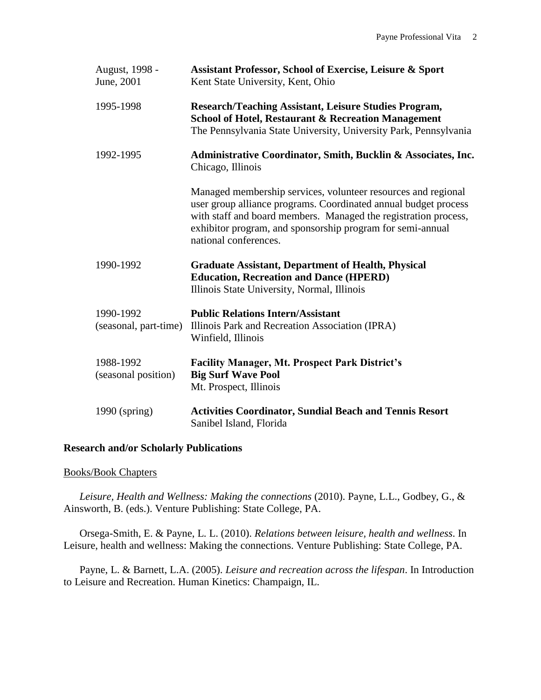| August, 1998 -<br>June, 2001       | Assistant Professor, School of Exercise, Leisure & Sport<br>Kent State University, Kent, Ohio                                                                                                                                                                                              |
|------------------------------------|--------------------------------------------------------------------------------------------------------------------------------------------------------------------------------------------------------------------------------------------------------------------------------------------|
| 1995-1998                          | <b>Research/Teaching Assistant, Leisure Studies Program,</b><br><b>School of Hotel, Restaurant &amp; Recreation Management</b><br>The Pennsylvania State University, University Park, Pennsylvania                                                                                         |
| 1992-1995                          | Administrative Coordinator, Smith, Bucklin & Associates, Inc.<br>Chicago, Illinois                                                                                                                                                                                                         |
|                                    | Managed membership services, volunteer resources and regional<br>user group alliance programs. Coordinated annual budget process<br>with staff and board members. Managed the registration process,<br>exhibitor program, and sponsorship program for semi-annual<br>national conferences. |
| 1990-1992                          | <b>Graduate Assistant, Department of Health, Physical</b><br><b>Education, Recreation and Dance (HPERD)</b><br>Illinois State University, Normal, Illinois                                                                                                                                 |
| 1990-1992<br>(seasonal, part-time) | <b>Public Relations Intern/Assistant</b><br>Illinois Park and Recreation Association (IPRA)<br>Winfield, Illinois                                                                                                                                                                          |
| 1988-1992<br>(seasonal position)   | <b>Facility Manager, Mt. Prospect Park District's</b><br><b>Big Surf Wave Pool</b><br>Mt. Prospect, Illinois                                                                                                                                                                               |
| 1990 (spring)                      | <b>Activities Coordinator, Sundial Beach and Tennis Resort</b><br>Sanibel Island, Florida                                                                                                                                                                                                  |

#### **Research and/or Scholarly Publications**

Books/Book Chapters

*Leisure, Health and Wellness: Making the connections* (2010). Payne, L.L., Godbey, G., & Ainsworth, B. (eds.). Venture Publishing: State College, PA.

Orsega-Smith, E. & Payne, L. L. (2010). *Relations between leisure, health and wellness*. In Leisure, health and wellness: Making the connections. Venture Publishing: State College, PA.

Payne, L. & Barnett, L.A. (2005). *Leisure and recreation across the lifespan*. In Introduction to Leisure and Recreation. Human Kinetics: Champaign, IL.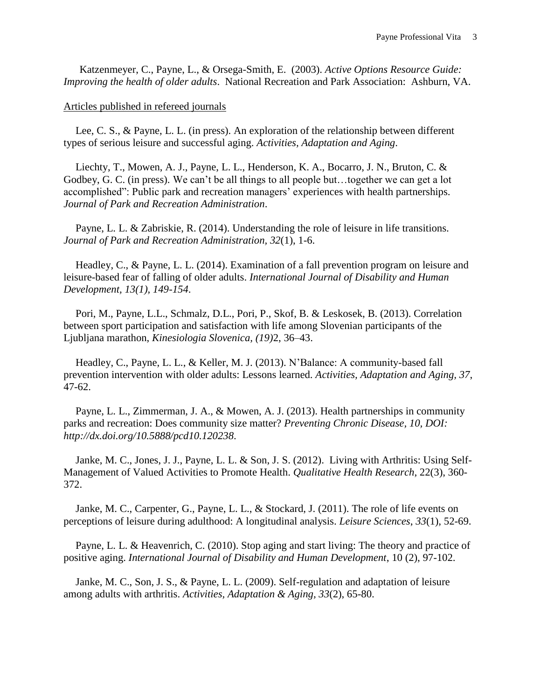Katzenmeyer, C., Payne, L., & Orsega-Smith, E. (2003). *Active Options Resource Guide: Improving the health of older adults*. National Recreation and Park Association: Ashburn, VA.

Articles published in refereed journals

Lee, C. S., & Payne, L. L. (in press). An exploration of the relationship between different types of serious leisure and successful aging. *Activities, Adaptation and Aging*.

Liechty, T., Mowen, A. J., Payne, L. L., Henderson, K. A., Bocarro, J. N., Bruton, C. & Godbey, G. C. (in press). We can't be all things to all people but…together we can get a lot accomplished": Public park and recreation managers' experiences with health partnerships. *Journal of Park and Recreation Administration*.

Payne, L. L. & Zabriskie, R. (2014). Understanding the role of leisure in life transitions. *Journal of Park and Recreation Administration, 32*(1), 1-6.

Headley, C., & Payne, L. L. (2014). Examination of a fall prevention program on leisure and leisure-based fear of falling of older adults. *International Journal of Disability and Human Development, 13(1), 149-154*.

Pori, M., Payne, L.L., Schmalz, D.L., Pori, P., Skof, B. & Leskosek, B. (2013). Correlation between sport participation and satisfaction with life among Slovenian participants of the Ljubljana marathon, *Kinesiologia Slovenica, (19)*2, 36–43.

Headley, C., Payne, L. L., & Keller, M. J. (2013). N'Balance: A community-based fall prevention intervention with older adults: Lessons learned. *Activities, Adaptation and Aging, 37*, 47-62.

Payne, L. L., Zimmerman, J. A., & Mowen, A. J. (2013). Health partnerships in community parks and recreation: Does community size matter? *Preventing Chronic Disease, 10, DOI: http://dx.doi.org/10.5888/pcd10.120238*.

Janke, M. C., Jones, J. J., Payne, L. L. & Son, J. S. (2012). Living with Arthritis: Using Self-Management of Valued Activities to Promote Health. *Qualitative Health Research*, 22(3), 360- 372.

Janke, M. C., Carpenter, G., Payne, L. L., & Stockard, J. (2011). The role of life events on perceptions of leisure during adulthood: A longitudinal analysis. *Leisure Sciences*, *33*(1), 52-69.

Payne, L. L. & Heavenrich, C. (2010). Stop aging and start living: The theory and practice of positive aging. *International Journal of Disability and Human Development*, 10 (2), 97-102.

Janke, M. C., Son, J. S., & Payne, L. L. (2009). Self-regulation and adaptation of leisure among adults with arthritis. *Activities, Adaptation & Aging, 33*(2), 65-80.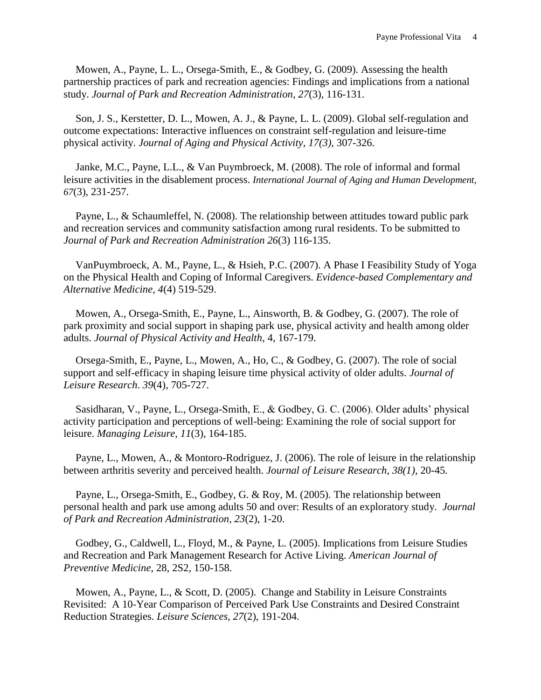Mowen, A., Payne, L. L., Orsega-Smith, E., & Godbey, G. (2009). Assessing the health partnership practices of park and recreation agencies: Findings and implications from a national study. *Journal of Park and Recreation Administration, 27*(3), 116-131.

Son, J. S., Kerstetter, D. L., Mowen, A. J., & Payne, L. L. (2009). Global self-regulation and outcome expectations: Interactive influences on constraint self-regulation and leisure-time physical activity. *Journal of Aging and Physical Activity, 17(3),* 307-326.

Janke, M.C., Payne, L.L., & Van Puymbroeck, M. (2008). The role of informal and formal leisure activities in the disablement process. *International Journal of Aging and Human Development, 67*(3), 231-257.

Payne, L., & Schaumleffel, N. (2008). The relationship between attitudes toward public park and recreation services and community satisfaction among rural residents. To be submitted to *Journal of Park and Recreation Administration 26*(3) 116-135.

VanPuymbroeck, A. M., Payne, L., & Hsieh, P.C. (2007). A Phase I Feasibility Study of Yoga on the Physical Health and Coping of Informal Caregivers. *Evidence-based Complementary and Alternative Medicine, 4*(4) 519-529.

Mowen, A., Orsega-Smith, E., Payne, L., Ainsworth, B. & Godbey, G. (2007). The role of park proximity and social support in shaping park use, physical activity and health among older adults. *Journal of Physical Activity and Health*, 4, 167-179.

Orsega-Smith, E., Payne, L., Mowen, A., Ho, C., & Godbey, G. (2007). The role of social support and self-efficacy in shaping leisure time physical activity of older adults. *Journal of Leisure Research*. *39*(4), 705-727.

Sasidharan, V., Payne, L., Orsega-Smith, E., & Godbey, G. C. (2006). Older adults' physical activity participation and perceptions of well-being: Examining the role of social support for leisure. *Managing Leisure, 11*(3), 164-185.

Payne, L., Mowen, A., & Montoro-Rodriguez, J. (2006). The role of leisure in the relationship between arthritis severity and perceived health. *Journal of Leisure Research, 38(1),* 20-45*.*

Payne, L., Orsega-Smith, E., Godbey, G. & Roy, M. (2005). The relationship between personal health and park use among adults 50 and over: Results of an exploratory study. *Journal of Park and Recreation Administration, 23*(2), 1-20.

Godbey, G., Caldwell, L., Floyd, M., & Payne, L. (2005). Implications from Leisure Studies and Recreation and Park Management Research for Active Living. *American Journal of Preventive Medicine*, 28, 2S2, 150-158.

Mowen, A., Payne, L., & Scott, D. (2005). Change and Stability in Leisure Constraints Revisited: A 10-Year Comparison of Perceived Park Use Constraints and Desired Constraint Reduction Strategies. *Leisure Sciences, 27*(2), 191-204.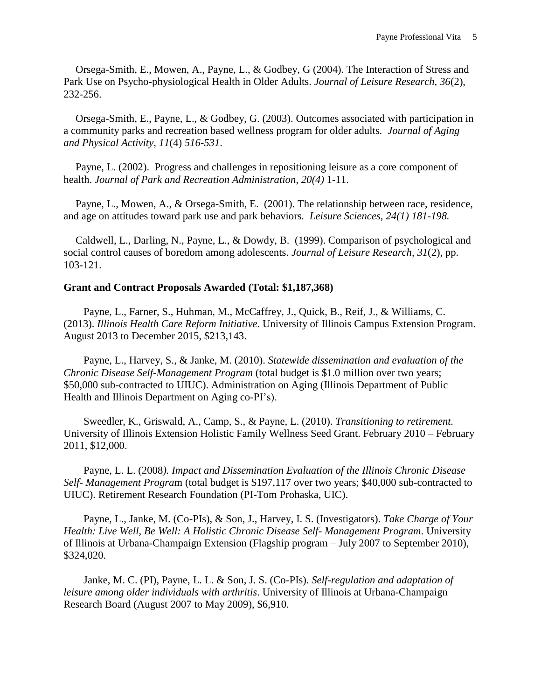Orsega-Smith, E., Mowen, A., Payne, L., & Godbey, G (2004). The Interaction of Stress and Park Use on Psycho-physiological Health in Older Adults. *Journal of Leisure Research, 36*(2), 232-256.

Orsega-Smith, E., Payne, L., & Godbey, G. (2003). Outcomes associated with participation in a community parks and recreation based wellness program for older adults*. Journal of Aging and Physical Activity, 11*(4) *516-531*.

Payne, L. (2002). Progress and challenges in repositioning leisure as a core component of health. *Journal of Park and Recreation Administration*, *20(4)* 1-11.

Payne, L., Mowen, A., & Orsega-Smith, E. (2001). The relationship between race, residence, and age on attitudes toward park use and park behaviors*. Leisure Sciences, 24(1) 181-198.* 

Caldwell, L., Darling, N., Payne, L., & Dowdy, B. (1999). Comparison of psychological and social control causes of boredom among adolescents. *Journal of Leisure Research, 31*(2), pp. 103-121.

### **Grant and Contract Proposals Awarded (Total: \$1,187,368)**

Payne, L., Farner, S., Huhman, M., McCaffrey, J., Quick, B., Reif, J., & Williams, C. (2013). *Illinois Health Care Reform Initiative*. University of Illinois Campus Extension Program. August 2013 to December 2015, \$213,143.

Payne, L., Harvey, S., & Janke, M. (2010). *Statewide dissemination and evaluation of the Chronic Disease Self-Management Program* (total budget is \$1.0 million over two years; \$50,000 sub-contracted to UIUC). Administration on Aging (Illinois Department of Public Health and Illinois Department on Aging co-PI's).

Sweedler, K., Griswald, A., Camp, S., & Payne, L. (2010). *Transitioning to retirement.*  University of Illinois Extension Holistic Family Wellness Seed Grant. February 2010 – February 2011, \$12,000.

Payne, L. L. (2008*). Impact and Dissemination Evaluation of the Illinois Chronic Disease Self- Management Progra*m (total budget is \$197,117 over two years; \$40,000 sub-contracted to UIUC). Retirement Research Foundation (PI-Tom Prohaska, UIC).

Payne, L., Janke, M. (Co-PIs), & Son, J., Harvey, I. S. (Investigators). *Take Charge of Your Health: Live Well, Be Well: A Holistic Chronic Disease Self- Management Program*. University of Illinois at Urbana-Champaign Extension (Flagship program – July 2007 to September 2010), \$324,020.

Janke, M. C. (PI), Payne, L. L. & Son, J. S. (Co-PIs). *Self-regulation and adaptation of leisure among older individuals with arthritis*. University of Illinois at Urbana-Champaign Research Board (August 2007 to May 2009), \$6,910.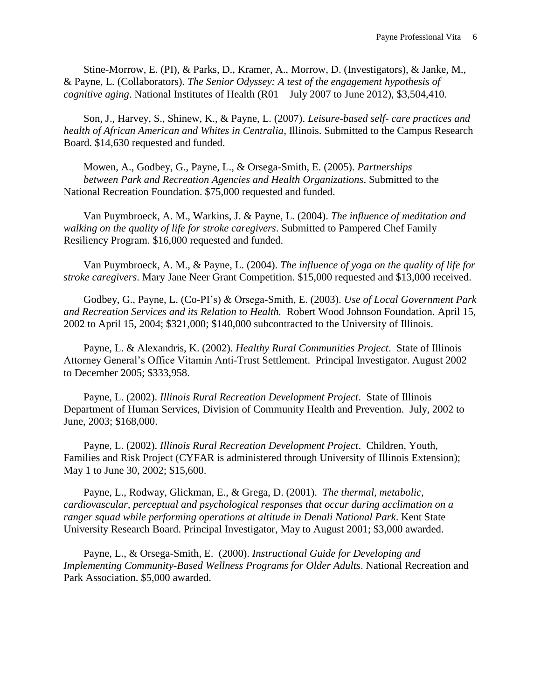Stine-Morrow, E. (PI), & Parks, D., Kramer, A., Morrow, D. (Investigators), & Janke, M., & Payne, L. (Collaborators). *The Senior Odyssey: A test of the engagement hypothesis of cognitive aging*. National Institutes of Health (R01 – July 2007 to June 2012), \$3,504,410.

Son, J., Harvey, S., Shinew, K., & Payne, L. (2007). *Leisure-based self- care practices and health of African American and Whites in Centralia*, Illinois. Submitted to the Campus Research Board. \$14,630 requested and funded.

Mowen, A., Godbey, G., Payne, L., & Orsega-Smith, E. (2005). *Partnerships between Park and Recreation Agencies and Health Organizations*. Submitted to the National Recreation Foundation. \$75,000 requested and funded.

Van Puymbroeck, A. M., Warkins, J. & Payne, L. (2004). *The influence of meditation and walking on the quality of life for stroke caregivers*. Submitted to Pampered Chef Family Resiliency Program. \$16,000 requested and funded.

Van Puymbroeck, A. M., & Payne, L. (2004). *The influence of yoga on the quality of life for stroke caregivers*. Mary Jane Neer Grant Competition. \$15,000 requested and \$13,000 received.

Godbey, G., Payne, L. (Co-PI's) & Orsega-Smith, E. (2003). *Use of Local Government Park and Recreation Services and its Relation to Health.* Robert Wood Johnson Foundation. April 15, 2002 to April 15, 2004; \$321,000; \$140,000 subcontracted to the University of Illinois.

Payne, L. & Alexandris, K. (2002). *Healthy Rural Communities Project*. State of Illinois Attorney General's Office Vitamin Anti-Trust Settlement. Principal Investigator. August 2002 to December 2005; \$333,958.

Payne, L. (2002). *Illinois Rural Recreation Development Project*. State of Illinois Department of Human Services, Division of Community Health and Prevention. July, 2002 to June, 2003; \$168,000.

Payne, L. (2002). *Illinois Rural Recreation Development Project*. Children, Youth, Families and Risk Project (CYFAR is administered through University of Illinois Extension); May 1 to June 30, 2002; \$15,600.

Payne, L., Rodway, Glickman, E., & Grega, D. (2001). *The thermal, metabolic, cardiovascular, perceptual and psychological responses that occur during acclimation on a ranger squad while performing operations at altitude in Denali National Park*. Kent State University Research Board. Principal Investigator, May to August 2001; \$3,000 awarded.

Payne, L., & Orsega-Smith, E. (2000). *Instructional Guide for Developing and Implementing Community-Based Wellness Programs for Older Adults*. National Recreation and Park Association. \$5,000 awarded.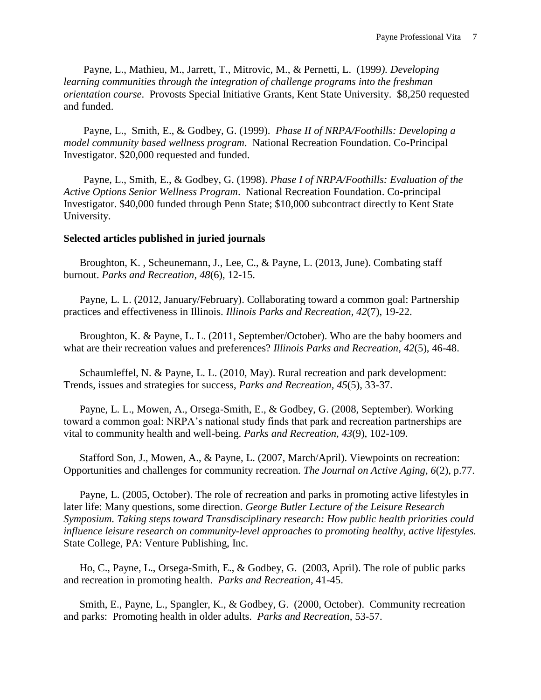Payne, L., Mathieu, M., Jarrett, T., Mitrovic, M., & Pernetti, L. (1999*). Developing learning communities through the integration of challenge programs into the freshman orientation course*. Provosts Special Initiative Grants, Kent State University. \$8,250 requested and funded.

Payne, L., Smith, E., & Godbey, G. (1999). *Phase II of NRPA/Foothills: Developing a model community based wellness program*. National Recreation Foundation. Co-Principal Investigator. \$20,000 requested and funded.

Payne, L., Smith, E., & Godbey, G. (1998). *Phase I of NRPA/Foothills: Evaluation of the Active Options Senior Wellness Program*. National Recreation Foundation. Co-principal Investigator. \$40,000 funded through Penn State; \$10,000 subcontract directly to Kent State University.

#### **Selected articles published in juried journals**

Broughton, K. , Scheunemann, J., Lee, C., & Payne, L. (2013, June). Combating staff burnout. *Parks and Recreation, 48*(6), 12-15.

Payne, L. L. (2012, January/February). Collaborating toward a common goal: Partnership practices and effectiveness in Illinois. *Illinois Parks and Recreation, 42*(7), 19-22.

Broughton, K. & Payne, L. L. (2011, September/October). Who are the baby boomers and what are their recreation values and preferences? *Illinois Parks and Recreation, 42*(5), 46-48.

Schaumleffel, N. & Payne, L. L. (2010, May). Rural recreation and park development: Trends, issues and strategies for success, *Parks and Recreation, 45*(5), 33-37.

Payne, L. L., Mowen, A., Orsega-Smith, E., & Godbey, G. (2008, September). Working toward a common goal: NRPA's national study finds that park and recreation partnerships are vital to community health and well-being. *Parks and Recreation, 43*(9), 102-109.

Stafford Son, J., Mowen, A., & Payne, L. (2007, March/April). Viewpoints on recreation: Opportunities and challenges for community recreation. *The Journal on Active Aging, 6*(2), p.77.

Payne, L. (2005, October). The role of recreation and parks in promoting active lifestyles in later life: Many questions, some direction. *George Butler Lecture of the Leisure Research Symposium. Taking steps toward Transdisciplinary research: How public health priorities could influence leisure research on community-level approaches to promoting healthy, active lifestyles.* State College, PA: Venture Publishing, Inc.

Ho, C., Payne, L., Orsega-Smith, E., & Godbey, G. (2003, April). The role of public parks and recreation in promoting health. *Parks and Recreation,* 41-45.

Smith, E., Payne, L., Spangler, K., & Godbey, G. (2000, October). Community recreation and parks: Promoting health in older adults. *Parks and Recreation,* 53-57.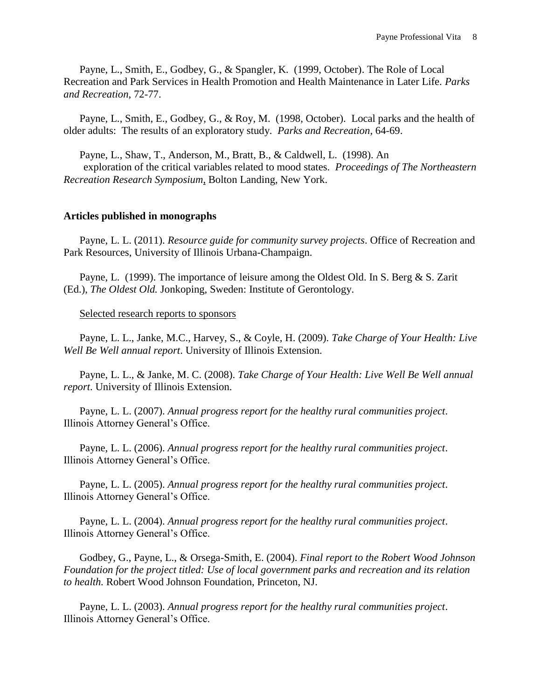Payne, L., Smith, E., Godbey, G., & Spangler, K. (1999, October). The Role of Local Recreation and Park Services in Health Promotion and Health Maintenance in Later Life. *Parks and Recreation*, 72-77.

Payne, L., Smith, E., Godbey, G., & Roy, M. (1998, October). Local parks and the health of older adults: The results of an exploratory study. *Parks and Recreation*, 64-69.

Payne, L., Shaw, T., Anderson, M., Bratt, B., & Caldwell, L. (1998). An exploration of the critical variables related to mood states. *Proceedings of The Northeastern Recreation Research Symposium*, Bolton Landing, New York.

### **Articles published in monographs**

Payne, L. L. (2011). *Resource guide for community survey projects*. Office of Recreation and Park Resources, University of Illinois Urbana-Champaign.

Payne, L. (1999). The importance of leisure among the Oldest Old. In S. Berg & S. Zarit (Ed.), *The Oldest Old.* Jonkoping, Sweden: Institute of Gerontology.

#### Selected research reports to sponsors

Payne, L. L., Janke, M.C., Harvey, S., & Coyle, H. (2009). *Take Charge of Your Health: Live Well Be Well annual report*. University of Illinois Extension.

Payne, L. L., & Janke, M. C. (2008). *Take Charge of Your Health: Live Well Be Well annual report*. University of Illinois Extension.

Payne, L. L. (2007). *Annual progress report for the healthy rural communities project*. Illinois Attorney General's Office.

Payne, L. L. (2006). *Annual progress report for the healthy rural communities project*. Illinois Attorney General's Office.

Payne, L. L. (2005). *Annual progress report for the healthy rural communities project*. Illinois Attorney General's Office.

Payne, L. L. (2004). *Annual progress report for the healthy rural communities project*. Illinois Attorney General's Office.

Godbey, G., Payne, L., & Orsega-Smith, E. (2004). *Final report to the Robert Wood Johnson Foundation for the project titled: Use of local government parks and recreation and its relation to health.* Robert Wood Johnson Foundation, Princeton, NJ.

Payne, L. L. (2003). *Annual progress report for the healthy rural communities project*. Illinois Attorney General's Office.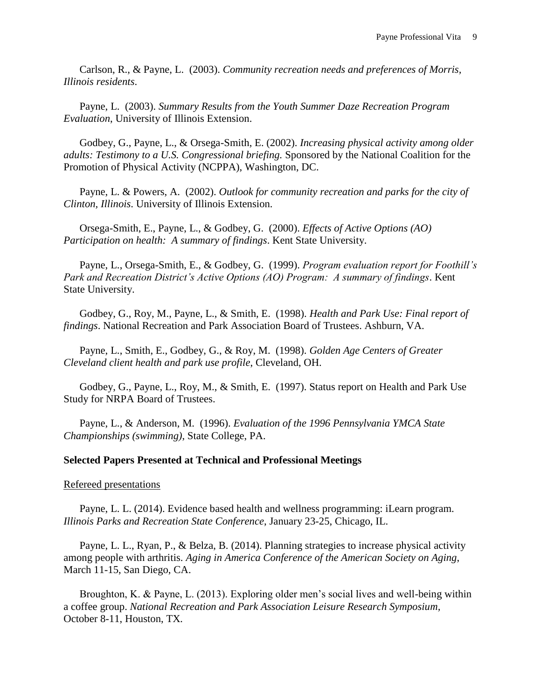Carlson, R., & Payne, L. (2003). *Community recreation needs and preferences of Morris, Illinois residents*.

Payne, L. (2003). *Summary Results from the Youth Summer Daze Recreation Program Evaluation*, University of Illinois Extension.

Godbey, G., Payne, L., & Orsega-Smith, E. (2002). *Increasing physical activity among older adults: Testimony to a U.S. Congressional briefing.* Sponsored by the National Coalition for the Promotion of Physical Activity (NCPPA), Washington, DC.

Payne, L. & Powers, A. (2002). *Outlook for community recreation and parks for the city of Clinton, Illinois*. University of Illinois Extension.

Orsega-Smith, E., Payne, L., & Godbey, G. (2000). *Effects of Active Options (AO) Participation on health: A summary of findings*. Kent State University.

Payne, L., Orsega-Smith, E., & Godbey, G. (1999). *Program evaluation report for Foothill's Park and Recreation District's Active Options (AO) Program: A summary of findings*. Kent State University.

Godbey, G., Roy, M., Payne, L., & Smith, E. (1998). *Health and Park Use: Final report of findings*. National Recreation and Park Association Board of Trustees. Ashburn, VA.

Payne, L., Smith, E., Godbey, G., & Roy, M. (1998). *Golden Age Centers of Greater Cleveland client health and park use profile*, Cleveland, OH.

Godbey, G., Payne, L., Roy, M., & Smith, E. (1997). Status report on Health and Park Use Study for NRPA Board of Trustees.

Payne, L., & Anderson, M. (1996). *Evaluation of the 1996 Pennsylvania YMCA State Championships (swimming)*, State College, PA.

### **Selected Papers Presented at Technical and Professional Meetings**

#### Refereed presentations

Payne, L. L. (2014). Evidence based health and wellness programming: iLearn program. *Illinois Parks and Recreation State Conference*, January 23-25, Chicago, IL.

Payne, L. L., Ryan, P., & Belza, B. (2014). Planning strategies to increase physical activity among people with arthritis. *Aging in America Conference of the American Society on Aging*, March 11-15, San Diego, CA.

Broughton, K. & Payne, L. (2013). Exploring older men's social lives and well-being within a coffee group. *National Recreation and Park Association Leisure Research Symposium,*  October 8-11, Houston, TX*.*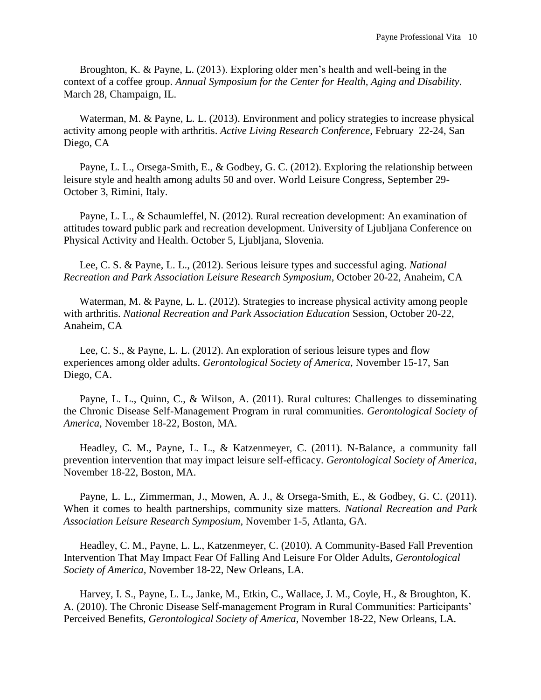Broughton, K. & Payne, L. (2013). Exploring older men's health and well-being in the context of a coffee group. *Annual Symposium for the Center for Health, Aging and Disability*. March 28, Champaign, IL.

Waterman, M. & Payne, L. L. (2013). Environment and policy strategies to increase physical activity among people with arthritis. *Active Living Research Conference*, February 22-24, San Diego, CA

Payne, L. L., Orsega-Smith, E., & Godbey, G. C. (2012). Exploring the relationship between leisure style and health among adults 50 and over. World Leisure Congress, September 29- October 3, Rimini, Italy.

Payne, L. L., & Schaumleffel, N. (2012). Rural recreation development: An examination of attitudes toward public park and recreation development. University of Ljubljana Conference on Physical Activity and Health. October 5, Ljubljana, Slovenia.

Lee, C. S. & Payne, L. L., (2012). Serious leisure types and successful aging. *National Recreation and Park Association Leisure Research Symposium*, October 20-22, Anaheim, CA

Waterman, M. & Payne, L. L. (2012). Strategies to increase physical activity among people with arthritis. *National Recreation and Park Association Education* Session, October 20-22, Anaheim, CA

Lee, C. S., & Payne, L. L. (2012). An exploration of serious leisure types and flow experiences among older adults. *Gerontological Society of America*, November 15-17, San Diego, CA.

Payne, L. L., Quinn, C., & Wilson, A. (2011). Rural cultures: Challenges to disseminating the Chronic Disease Self-Management Program in rural communities. *Gerontological Society of America*, November 18-22, Boston, MA.

Headley, C. M., Payne, L. L., & Katzenmeyer, C. (2011). N-Balance, a community fall prevention intervention that may impact leisure self-efficacy. *Gerontological Society of America*, November 18-22, Boston, MA.

Payne, L. L., Zimmerman, J., Mowen, A. J., & Orsega-Smith, E., & Godbey, G. C. (2011). When it comes to health partnerships, community size matters. *National Recreation and Park Association Leisure Research Symposium,* November 1-5, Atlanta, GA.

Headley, C. M., Payne, L. L., Katzenmeyer, C. (2010). A Community-Based Fall Prevention Intervention That May Impact Fear Of Falling And Leisure For Older Adults, *Gerontological Society of America,* November 18-22, New Orleans, LA*.*

Harvey, I. S., Payne, L. L., Janke, M., Etkin, C., Wallace, J. M., Coyle, H., & Broughton, K. A. (2010). The Chronic Disease Self-management Program in Rural Communities: Participants' Perceived Benefits, *Gerontological Society of America,* November 18-22, New Orleans, LA*.*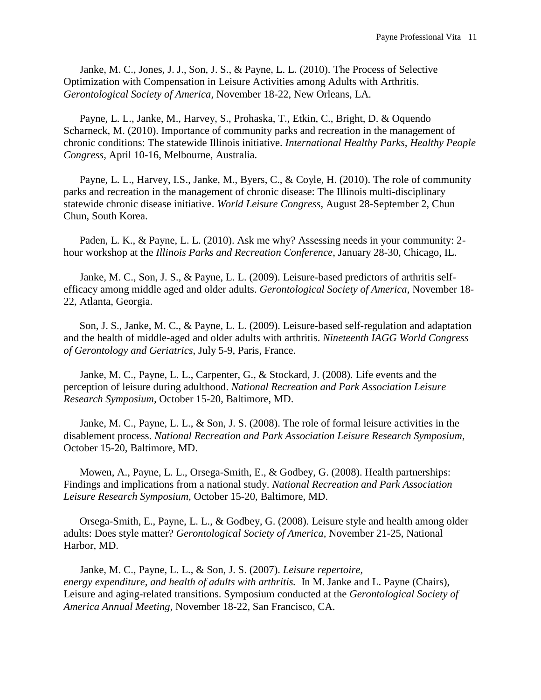Janke, M. C., Jones, J. J., Son, J. S., & Payne, L. L. (2010). The Process of Selective Optimization with Compensation in Leisure Activities among Adults with Arthritis. *Gerontological Society of America,* November 18-22, New Orleans, LA*.*

Payne, L. L., Janke, M., Harvey, S., Prohaska, T., Etkin, C., Bright, D. & Oquendo Scharneck, M. (2010). Importance of community parks and recreation in the management of chronic conditions: The statewide Illinois initiative. *International Healthy Parks, Healthy People Congress,* April 10-16, Melbourne, Australia.

Payne, L. L., Harvey, I.S., Janke, M., Byers, C., & Coyle, H. (2010). The role of community parks and recreation in the management of chronic disease: The Illinois multi-disciplinary statewide chronic disease initiative. *World Leisure Congress*, August 28-September 2, Chun Chun, South Korea.

Paden, L. K., & Payne, L. L. (2010). Ask me why? Assessing needs in your community: 2 hour workshop at the *Illinois Parks and Recreation Conference*, January 28-30, Chicago, IL.

Janke, M. C., Son, J. S., & Payne, L. L. (2009). Leisure-based predictors of arthritis selfefficacy among middle aged and older adults. *Gerontological Society of America,* November 18- 22, Atlanta, Georgia.

Son, J. S., Janke, M. C., & Payne, L. L. (2009). Leisure-based self-regulation and adaptation and the health of middle-aged and older adults with arthritis. *Nineteenth IAGG World Congress of Gerontology and Geriatrics*, July 5-9, Paris, France.

Janke, M. C., Payne, L. L., Carpenter, G., & Stockard, J. (2008). Life events and the perception of leisure during adulthood. *National Recreation and Park Association Leisure Research Symposium,* October 15-20, Baltimore, MD.

Janke, M. C., Payne, L. L., & Son, J. S. (2008). The role of formal leisure activities in the disablement process. *National Recreation and Park Association Leisure Research Symposium,*  October 15-20, Baltimore, MD.

Mowen, A., Payne, L. L., Orsega-Smith, E., & Godbey, G. (2008). Health partnerships: Findings and implications from a national study. *National Recreation and Park Association Leisure Research Symposium,* October 15-20, Baltimore, MD.

Orsega-Smith, E., Payne, L. L., & Godbey, G. (2008). Leisure style and health among older adults: Does style matter? *Gerontological Society of America,* November 21-25, National Harbor, MD.

Janke, M. C., Payne, L. L., & Son, J. S. (2007). *Leisure repertoire, energy expenditure, and health of adults with arthritis.* In M. Janke and L. Payne (Chairs), Leisure and aging-related transitions. Symposium conducted at the *Gerontological Society of America Annual Meeting*, November 18-22, San Francisco, CA.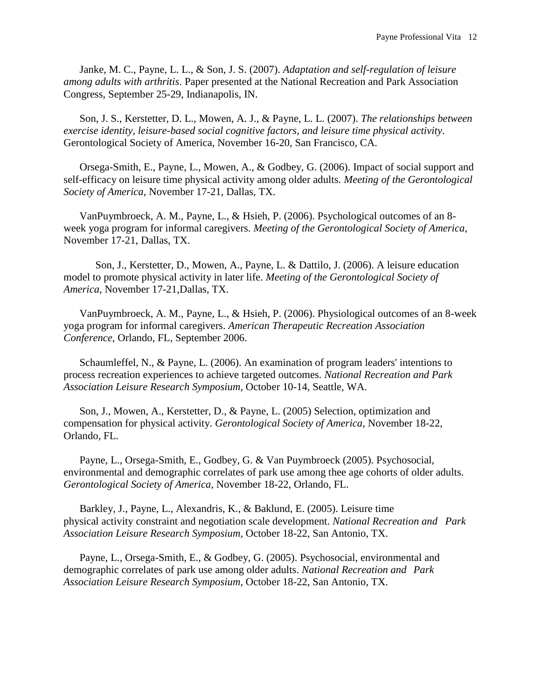Janke, M. C., Payne, L. L., & Son, J. S. (2007). *Adaptation and self-regulation of leisure among adults with arthritis*. Paper presented at the National Recreation and Park Association Congress, September 25-29, Indianapolis, IN.

Son, J. S., Kerstetter, D. L., Mowen, A. J., & Payne, L. L. (2007). *The relationships between exercise identity, leisure-based social cognitive factors, and leisure time physical activity*. Gerontological Society of America, November 16-20, San Francisco, CA.

Orsega-Smith, E., Payne, L., Mowen, A., & Godbey, G. (2006). Impact of social support and self-efficacy on leisure time physical activity among older adults. *Meeting of the Gerontological Society of America*, November 17-21, Dallas, TX.

VanPuymbroeck, A. M., Payne, L., & Hsieh, P. (2006). Psychological outcomes of an 8 week yoga program for informal caregivers. *Meeting of the Gerontological Society of America*, November 17-21, Dallas, TX.

Son, J., Kerstetter, D., Mowen, A., Payne, L. & Dattilo, J. (2006). A leisure education model to promote physical activity in later life. *Meeting of the Gerontological Society of America*, November 17-21,Dallas, TX.

VanPuymbroeck, A. M., Payne, L., & Hsieh, P. (2006). Physiological outcomes of an 8-week yoga program for informal caregivers. *American Therapeutic Recreation Association Conference*, Orlando, FL, September 2006.

Schaumleffel, N., & Payne, L. (2006). An examination of program leaders' intentions to process recreation experiences to achieve targeted outcomes. *National Recreation and Park Association Leisure Research Symposium*, October 10-14, Seattle, WA.

Son, J., Mowen, A., Kerstetter, D., & Payne, L. (2005) Selection, optimization and compensation for physical activity. *Gerontological Society of America*, November 18-22, Orlando, FL.

Payne, L., Orsega-Smith, E., Godbey, G. & Van Puymbroeck (2005). Psychosocial, environmental and demographic correlates of park use among thee age cohorts of older adults. *Gerontological Society of America*, November 18-22, Orlando, FL.

Barkley, J., Payne, L., Alexandris, K., & Baklund, E. (2005). Leisure time physical activity constraint and negotiation scale development. *National Recreation and Park Association Leisure Research Symposium*, October 18-22, San Antonio, TX.

Payne, L., Orsega-Smith, E., & Godbey, G. (2005). Psychosocial, environmental and demographic correlates of park use among older adults. *National Recreation and Park Association Leisure Research Symposium*, October 18-22, San Antonio, TX.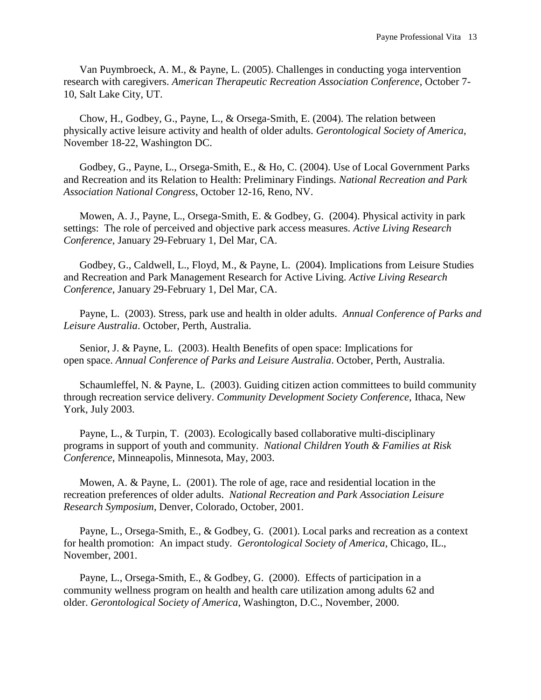Van Puymbroeck, A. M., & Payne, L. (2005). Challenges in conducting yoga intervention research with caregivers. *American Therapeutic Recreation Association Conference*, October 7- 10, Salt Lake City, UT.

Chow, H., Godbey, G., Payne, L., & Orsega-Smith, E. (2004). The relation between physically active leisure activity and health of older adults. *Gerontological Society of America*, November 18-22, Washington DC.

Godbey, G., Payne, L., Orsega-Smith, E., & Ho, C. (2004). Use of Local Government Parks and Recreation and its Relation to Health: Preliminary Findings. *National Recreation and Park Association National Congress*, October 12-16, Reno, NV.

Mowen, A. J., Payne, L., Orsega-Smith, E. & Godbey, G. (2004). Physical activity in park settings: The role of perceived and objective park access measures. *Active Living Research Conference*, January 29-February 1, Del Mar, CA.

Godbey, G., Caldwell, L., Floyd, M., & Payne, L. (2004). Implications from Leisure Studies and Recreation and Park Management Research for Active Living. *Active Living Research Conference*, January 29-February 1, Del Mar, CA.

Payne, L. (2003). Stress, park use and health in older adults. *Annual Conference of Parks and Leisure Australia*. October, Perth, Australia.

Senior, J. & Payne, L. (2003). Health Benefits of open space: Implications for open space. *Annual Conference of Parks and Leisure Australia*. October, Perth, Australia.

Schaumleffel, N. & Payne, L. (2003). Guiding citizen action committees to build community through recreation service delivery. *Community Development Society Conference*, Ithaca, New York, July 2003.

Payne, L., & Turpin, T. (2003). Ecologically based collaborative multi-disciplinary programs in support of youth and community. *National Children Youth & Families at Risk Conference*, Minneapolis, Minnesota, May, 2003.

Mowen, A. & Payne, L. (2001). The role of age, race and residential location in the recreation preferences of older adults. *National Recreation and Park Association Leisure Research Symposium*, Denver, Colorado, October, 2001.

Payne, L., Orsega-Smith, E., & Godbey, G. (2001). Local parks and recreation as a context for health promotion: An impact study. *Gerontological Society of America*, Chicago, IL., November, 2001.

Payne, L., Orsega-Smith, E., & Godbey, G. (2000). Effects of participation in a community wellness program on health and health care utilization among adults 62 and older. *Gerontological Society of America*, Washington, D.C., November, 2000.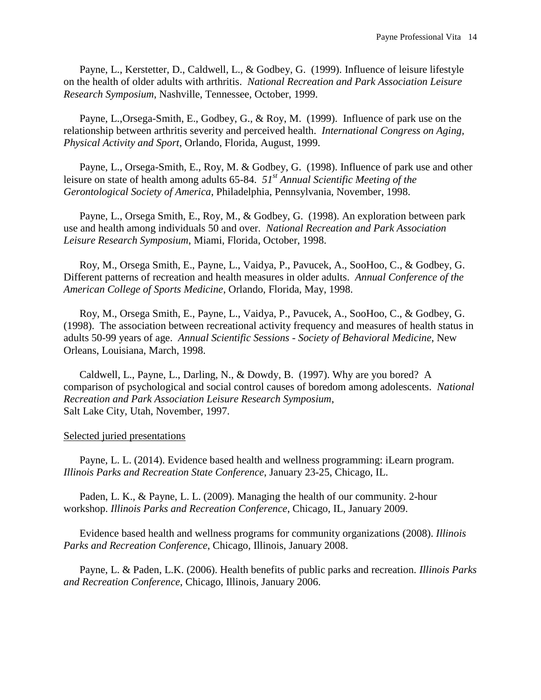Payne, L., Kerstetter, D., Caldwell, L., & Godbey, G. (1999). Influence of leisure lifestyle on the health of older adults with arthritis. *National Recreation and Park Association Leisure Research Symposium*, Nashville, Tennessee, October, 1999.

Payne, L.,Orsega-Smith, E., Godbey, G., & Roy, M. (1999). Influence of park use on the relationship between arthritis severity and perceived health. *International Congress on Aging, Physical Activity and Sport*, Orlando, Florida, August, 1999.

Payne, L., Orsega-Smith, E., Roy, M. & Godbey, G. (1998). Influence of park use and other leisure on state of health among adults 65-84. *51st Annual Scientific Meeting of the Gerontological Society of America*, Philadelphia, Pennsylvania, November, 1998.

Payne, L., Orsega Smith, E., Roy, M., & Godbey, G. (1998). An exploration between park use and health among individuals 50 and over. *National Recreation and Park Association Leisure Research Symposium*, Miami, Florida, October, 1998.

Roy, M., Orsega Smith, E., Payne, L., Vaidya, P., Pavucek, A., SooHoo, C., & Godbey, G. Different patterns of recreation and health measures in older adults. *Annual Conference of the American College of Sports Medicine*, Orlando, Florida, May, 1998.

Roy, M., Orsega Smith, E., Payne, L., Vaidya, P., Pavucek, A., SooHoo, C., & Godbey, G. (1998). The association between recreational activity frequency and measures of health status in adults 50-99 years of age. *Annual Scientific Sessions - Society of Behavioral Medicine*, New Orleans, Louisiana, March, 1998.

Caldwell, L., Payne, L., Darling, N., & Dowdy, B. (1997). Why are you bored? A comparison of psychological and social control causes of boredom among adolescents. *National Recreation and Park Association Leisure Research Symposium*, Salt Lake City, Utah, November, 1997.

#### Selected juried presentations

Payne, L. L. (2014). Evidence based health and wellness programming: iLearn program. *Illinois Parks and Recreation State Conference*, January 23-25, Chicago, IL.

Paden, L. K., & Payne, L. L. (2009). Managing the health of our community. 2-hour workshop. *Illinois Parks and Recreation Conference*, Chicago, IL, January 2009.

Evidence based health and wellness programs for community organizations (2008). *Illinois Parks and Recreation Conference*, Chicago, Illinois, January 2008.

Payne, L. & Paden, L.K. (2006). Health benefits of public parks and recreation. *Illinois Parks and Recreation Conference*, Chicago, Illinois, January 2006.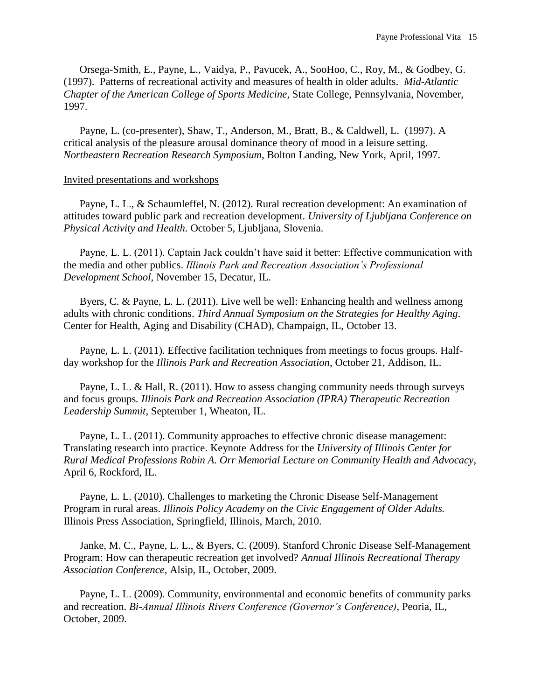Orsega-Smith, E., Payne, L., Vaidya, P., Pavucek, A., SooHoo, C., Roy, M., & Godbey, G. (1997). Patterns of recreational activity and measures of health in older adults. *Mid-Atlantic Chapter of the American College of Sports Medicine*, State College, Pennsylvania, November, 1997.

Payne, L. (co-presenter), Shaw, T., Anderson, M., Bratt, B., & Caldwell, L. (1997). A critical analysis of the pleasure arousal dominance theory of mood in a leisure setting. *Northeastern Recreation Research Symposium*, Bolton Landing, New York, April, 1997.

#### Invited presentations and workshops

Payne, L. L., & Schaumleffel, N. (2012). Rural recreation development: An examination of attitudes toward public park and recreation development. *University of Ljubljana Conference on Physical Activity and Health*. October 5, Ljubljana, Slovenia.

Payne, L. L. (2011). Captain Jack couldn't have said it better: Effective communication with the media and other publics. *Illinois Park and Recreation Association's Professional Development School,* November 15, Decatur, IL.

Byers, C. & Payne, L. L. (2011). Live well be well: Enhancing health and wellness among adults with chronic conditions. *Third Annual Symposium on the Strategies for Healthy Aging*. Center for Health, Aging and Disability (CHAD), Champaign, IL, October 13.

Payne, L. L. (2011). Effective facilitation techniques from meetings to focus groups. Halfday workshop for the *Illinois Park and Recreation Association*, October 21, Addison, IL.

Payne, L. L. & Hall, R. (2011). How to assess changing community needs through surveys and focus groups*. Illinois Park and Recreation Association (IPRA) Therapeutic Recreation Leadership Summit*, September 1, Wheaton, IL.

Payne, L. L. (2011). Community approaches to effective chronic disease management: Translating research into practice. Keynote Address for the *University of Illinois Center for Rural Medical Professions Robin A. Orr Memorial Lecture on Community Health and Advocacy*, April 6, Rockford, IL.

Payne, L. L. (2010). Challenges to marketing the Chronic Disease Self-Management Program in rural areas. *Illinois Policy Academy on the Civic Engagement of Older Adults.*  Illinois Press Association, Springfield, Illinois, March, 2010.

Janke, M. C., Payne, L. L., & Byers, C. (2009). Stanford Chronic Disease Self-Management Program: How can therapeutic recreation get involved? *Annual Illinois Recreational Therapy Association Conference*, Alsip, IL, October, 2009.

Payne, L. L. (2009). Community, environmental and economic benefits of community parks and recreation. *Bi-Annual Illinois Rivers Conference (Governor's Conference)*, Peoria, IL, October, 2009.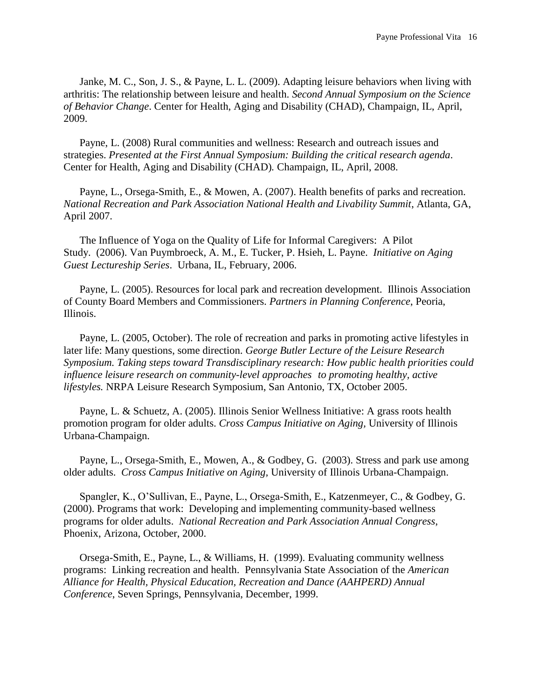Janke, M. C., Son, J. S., & Payne, L. L. (2009). Adapting leisure behaviors when living with arthritis: The relationship between leisure and health. *Second Annual Symposium on the Science of Behavior Change*. Center for Health, Aging and Disability (CHAD), Champaign, IL, April, 2009.

Payne, L. (2008) Rural communities and wellness: Research and outreach issues and strategies. *Presented at the First Annual Symposium: Building the critical research agenda*. Center for Health, Aging and Disability (CHAD)*.* Champaign, IL, April, 2008.

Payne, L., Orsega-Smith, E., & Mowen, A. (2007). Health benefits of parks and recreation. *National Recreation and Park Association National Health and Livability Summit*, Atlanta, GA, April 2007.

The Influence of Yoga on the Quality of Life for Informal Caregivers: A Pilot Study. (2006). Van Puymbroeck, A. M., E. Tucker, P. Hsieh, L. Payne. *Initiative on Aging Guest Lectureship Series*. Urbana, IL, February, 2006.

Payne, L. (2005). Resources for local park and recreation development. Illinois Association of County Board Members and Commissioners. *Partners in Planning Conference*, Peoria, Illinois.

Payne, L. (2005, October). The role of recreation and parks in promoting active lifestyles in later life: Many questions, some direction. *George Butler Lecture of the Leisure Research Symposium. Taking steps toward Transdisciplinary research: How public health priorities could influence leisure research on community-level approaches to promoting healthy, active lifestyles.* NRPA Leisure Research Symposium, San Antonio, TX, October 2005.

Payne, L. & Schuetz, A. (2005). Illinois Senior Wellness Initiative: A grass roots health promotion program for older adults. *Cross Campus Initiative on Aging,* University of Illinois Urbana-Champaign.

Payne, L., Orsega-Smith, E., Mowen, A., & Godbey, G. (2003). Stress and park use among older adults. *Cross Campus Initiative on Aging,* University of Illinois Urbana-Champaign.

Spangler, K., O'Sullivan, E., Payne, L., Orsega-Smith, E., Katzenmeyer, C., & Godbey, G. (2000). Programs that work: Developing and implementing community-based wellness programs for older adults. *National Recreation and Park Association Annual Congress*, Phoenix, Arizona, October, 2000.

Orsega-Smith, E., Payne, L., & Williams, H. (1999). Evaluating community wellness programs: Linking recreation and health. Pennsylvania State Association of the *American Alliance for Health, Physical Education, Recreation and Dance (AAHPERD) Annual Conference*, Seven Springs, Pennsylvania, December, 1999.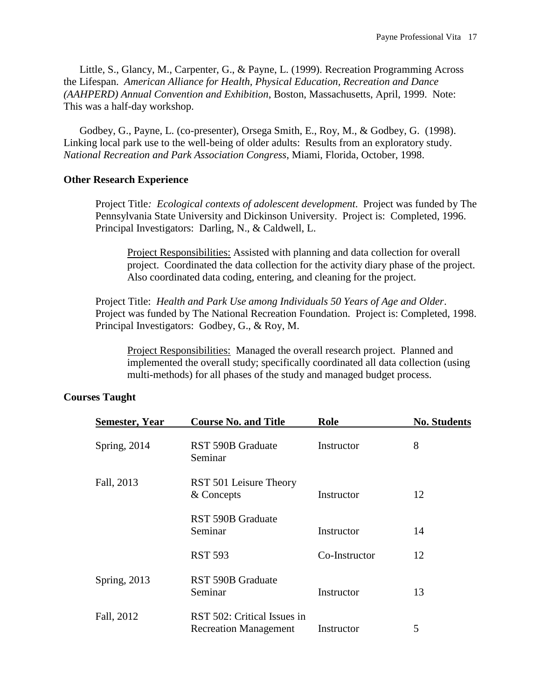Little, S., Glancy, M., Carpenter, G., & Payne, L. (1999). Recreation Programming Across the Lifespan. *American Alliance for Health, Physical Education, Recreation and Dance (AAHPERD) Annual Convention and Exhibition*, Boston, Massachusetts, April, 1999. Note: This was a half-day workshop.

Godbey, G., Payne, L. (co-presenter), Orsega Smith, E., Roy, M., & Godbey, G. (1998). Linking local park use to the well-being of older adults: Results from an exploratory study. *National Recreation and Park Association Congress*, Miami, Florida, October, 1998.

#### **Other Research Experience**

Project Title*: Ecological contexts of adolescent development*. Project was funded by The Pennsylvania State University and Dickinson University. Project is: Completed, 1996. Principal Investigators: Darling, N., & Caldwell, L.

Project Responsibilities: Assisted with planning and data collection for overall project. Coordinated the data collection for the activity diary phase of the project. Also coordinated data coding, entering, and cleaning for the project.

Project Title: *Health and Park Use among Individuals 50 Years of Age and Older*. Project was funded by The National Recreation Foundation. Project is: Completed, 1998. Principal Investigators: Godbey, G., & Roy, M.

Project Responsibilities: Managed the overall research project. Planned and implemented the overall study; specifically coordinated all data collection (using multi-methods) for all phases of the study and managed budget process.

### **Courses Taught**

| <b>Semester, Year</b> | <b>Course No. and Title</b>                                 | Role          | <b>No. Students</b> |
|-----------------------|-------------------------------------------------------------|---------------|---------------------|
| Spring, 2014          | RST 590B Graduate<br>Seminar                                | Instructor    | 8                   |
| Fall, 2013            | RST 501 Leisure Theory<br>& Concepts                        | Instructor    | 12                  |
|                       | <b>RST 590B Graduate</b><br>Seminar                         | Instructor    | 14                  |
|                       | <b>RST 593</b>                                              | Co-Instructor | 12                  |
| Spring, 2013          | RST 590B Graduate<br>Seminar                                | Instructor    | 13                  |
| Fall, 2012            | RST 502: Critical Issues in<br><b>Recreation Management</b> | Instructor    | 5                   |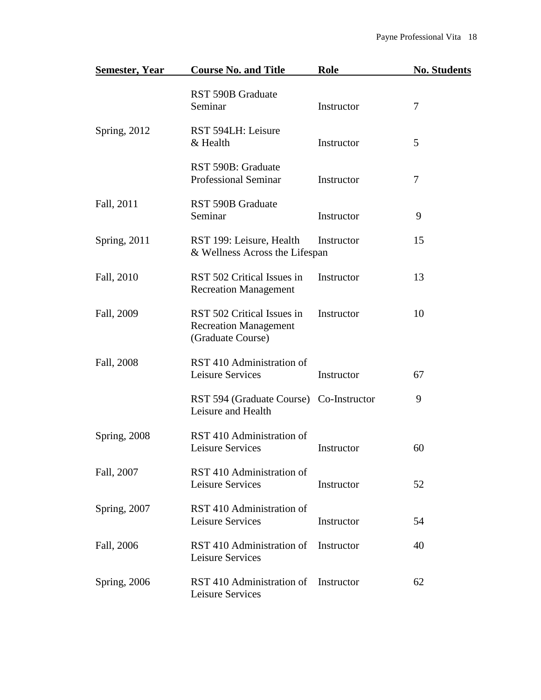| <b>Semester, Year</b> | <b>Course No. and Title</b>                                                     | Role       | <b>No. Students</b> |
|-----------------------|---------------------------------------------------------------------------------|------------|---------------------|
|                       | <b>RST 590B Graduate</b><br>Seminar                                             | Instructor | 7                   |
| Spring, 2012          | RST 594LH: Leisure<br>& Health                                                  | Instructor | 5                   |
|                       | RST 590B: Graduate<br><b>Professional Seminar</b>                               | Instructor | 7                   |
| Fall, 2011            | <b>RST 590B Graduate</b><br>Seminar                                             | Instructor | 9                   |
| Spring, 2011          | RST 199: Leisure, Health<br>& Wellness Across the Lifespan                      | Instructor | 15                  |
| Fall, 2010            | RST 502 Critical Issues in<br><b>Recreation Management</b>                      | Instructor | 13                  |
| Fall, 2009            | RST 502 Critical Issues in<br><b>Recreation Management</b><br>(Graduate Course) | Instructor | 10                  |
| Fall, 2008            | RST 410 Administration of<br>Leisure Services                                   | Instructor | 67                  |
|                       | RST 594 (Graduate Course) Co-Instructor<br>Leisure and Health                   |            | 9                   |
| <b>Spring, 2008</b>   | RST 410 Administration of<br>Leisure Services                                   | Instructor | 60                  |
| Fall, 2007            | RST 410 Administration of<br>Leisure Services                                   | Instructor | 52                  |
| Spring, 2007          | RST 410 Administration of<br>Leisure Services                                   | Instructor | 54                  |
| Fall, 2006            | RST 410 Administration of<br>Leisure Services                                   | Instructor | 40                  |
| <b>Spring</b> , 2006  | RST 410 Administration of<br>Leisure Services                                   | Instructor | 62                  |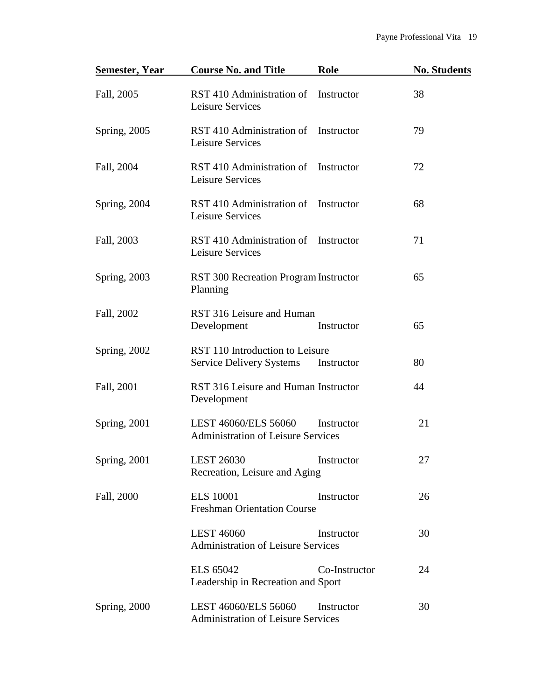| <b>Semester, Year</b> | <b>Course No. and Title</b><br>Role                                              | <b>No. Students</b> |
|-----------------------|----------------------------------------------------------------------------------|---------------------|
| Fall, 2005            | RST 410 Administration of Instructor<br>Leisure Services                         | 38                  |
| Spring, 2005          | RST 410 Administration of<br>Instructor<br>Leisure Services                      | 79                  |
| Fall, 2004            | RST 410 Administration of Instructor<br>Leisure Services                         | 72                  |
| Spring, 2004          | RST 410 Administration of<br>Instructor<br>Leisure Services                      | 68                  |
| Fall, 2003            | RST 410 Administration of Instructor<br>Leisure Services                         | 71                  |
| Spring, 2003          | RST 300 Recreation Program Instructor<br>Planning                                | 65                  |
| Fall, 2002            | RST 316 Leisure and Human<br>Development<br>Instructor                           | 65                  |
| Spring, 2002          | RST 110 Introduction to Leisure<br><b>Service Delivery Systems</b><br>Instructor | 80                  |
| Fall, 2001            | RST 316 Leisure and Human Instructor<br>Development                              | 44                  |
| Spring, 2001          | LEST 46060/ELS 56060<br>Instructor<br><b>Administration of Leisure Services</b>  | 21                  |
| <b>Spring</b> , 2001  | <b>LEST 26030</b><br>Instructor<br>Recreation, Leisure and Aging                 | 27                  |
| Fall, 2000            | <b>ELS</b> 10001<br>Instructor<br><b>Freshman Orientation Course</b>             | 26                  |
|                       | <b>LEST 46060</b><br>Instructor<br><b>Administration of Leisure Services</b>     | 30                  |
|                       | <b>ELS 65042</b><br>Co-Instructor<br>Leadership in Recreation and Sport          | 24                  |
| Spring, 2000          | LEST 46060/ELS 56060<br>Instructor<br><b>Administration of Leisure Services</b>  | 30                  |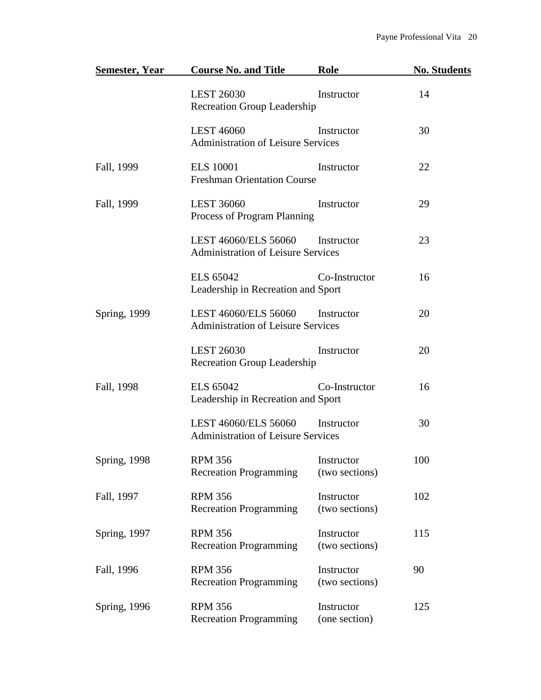| Semester, Year       | <b>Course No. and Title</b>                                       | Role                         | <b>No. Students</b> |
|----------------------|-------------------------------------------------------------------|------------------------------|---------------------|
|                      | <b>LEST 26030</b><br>Recreation Group Leadership                  | Instructor                   | 14                  |
|                      | <b>LEST 46060</b><br><b>Administration of Leisure Services</b>    | Instructor                   | 30                  |
| Fall, 1999           | <b>ELS</b> 10001<br><b>Freshman Orientation Course</b>            | Instructor                   | 22                  |
| Fall, 1999           | <b>LEST 36060</b><br>Process of Program Planning                  | Instructor                   | 29                  |
|                      | LEST 46060/ELS 56060<br><b>Administration of Leisure Services</b> | Instructor                   | 23                  |
|                      | <b>ELS</b> 65042<br>Leadership in Recreation and Sport            | Co-Instructor                | 16                  |
| <b>Spring</b> , 1999 | LEST 46060/ELS 56060<br><b>Administration of Leisure Services</b> | Instructor                   | 20                  |
|                      | <b>LEST 26030</b><br><b>Recreation Group Leadership</b>           | Instructor                   | 20                  |
| Fall, 1998           | <b>ELS</b> 65042<br>Leadership in Recreation and Sport            | Co-Instructor                | 16                  |
|                      | LEST 46060/ELS 56060<br><b>Administration of Leisure Services</b> | Instructor                   | 30                  |
| <b>Spring</b> , 1998 | <b>RPM 356</b><br><b>Recreation Programming</b>                   | Instructor<br>(two sections) | 100                 |
| Fall, 1997           | <b>RPM 356</b><br><b>Recreation Programming</b>                   | Instructor<br>(two sections) | 102                 |
| Spring, 1997         | <b>RPM 356</b><br><b>Recreation Programming</b>                   | Instructor<br>(two sections) | 115                 |
| Fall, 1996           | <b>RPM 356</b><br><b>Recreation Programming</b>                   | Instructor<br>(two sections) | 90                  |
| <b>Spring</b> , 1996 | <b>RPM 356</b><br><b>Recreation Programming</b>                   | Instructor<br>(one section)  | 125                 |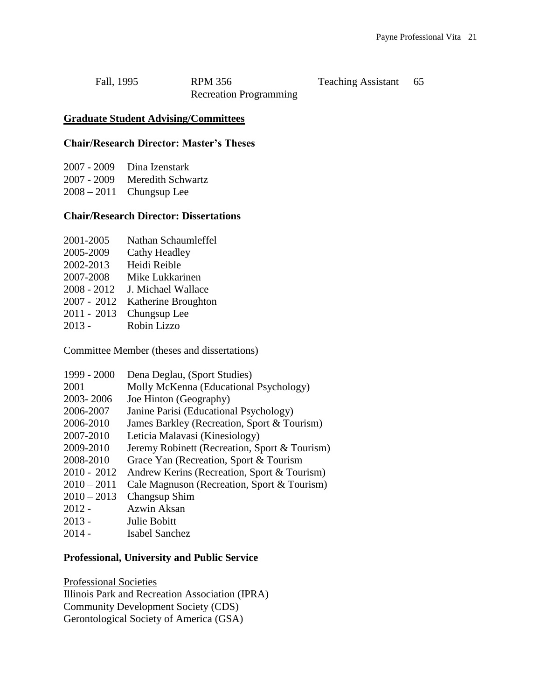| Fall, 1995 | <b>RPM 356</b>                |
|------------|-------------------------------|
|            | <b>Recreation Programming</b> |

Teaching Assistant 65

#### **Graduate Student Advising/Committees**

#### **Chair/Research Director: Master's Theses**

| 2007 - 2009 Dina Izenstark    |
|-------------------------------|
| 2007 - 2009 Meredith Schwartz |
| $2008 - 2011$ Chungsup Lee    |

### **Chair/Research Director: Dissertations**

| 2001-2005 | Nathan Schaumleffel |
|-----------|---------------------|
|           |                     |

- 2005-2009 Cathy Headley
- 2002-2013 Heidi Reible
- 2007-2008 Mike Lukkarinen
- 2008 2012 J. Michael Wallace
- 2007 2012 Katherine Broughton
- 2011 2013 Chungsup Lee
- 2013 Robin Lizzo

Committee Member (theses and dissertations)

| 1999 - 2000   | Dena Deglau, (Sport Studies)                  |
|---------------|-----------------------------------------------|
| 2001          | Molly McKenna (Educational Psychology)        |
| 2003-2006     | Joe Hinton (Geography)                        |
| 2006-2007     | Janine Parisi (Educational Psychology)        |
| 2006-2010     | James Barkley (Recreation, Sport & Tourism)   |
| 2007-2010     | Leticia Malavasi (Kinesiology)                |
| 2009-2010     | Jeremy Robinett (Recreation, Sport & Tourism) |
| 2008-2010     | Grace Yan (Recreation, Sport & Tourism        |
| $2010 - 2012$ | Andrew Kerins (Recreation, Sport & Tourism)   |
| $2010 - 2011$ | Cale Magnuson (Recreation, Sport & Tourism)   |
| $2010 - 2013$ | Changsup Shim                                 |
| $2012 -$      | Azwin Aksan                                   |
| $2013 -$      | Julie Bobitt                                  |
| $2014 -$      | Isabel Sanchez                                |

#### **Professional, University and Public Service**

Professional Societies Illinois Park and Recreation Association (IPRA) Community Development Society (CDS) Gerontological Society of America (GSA)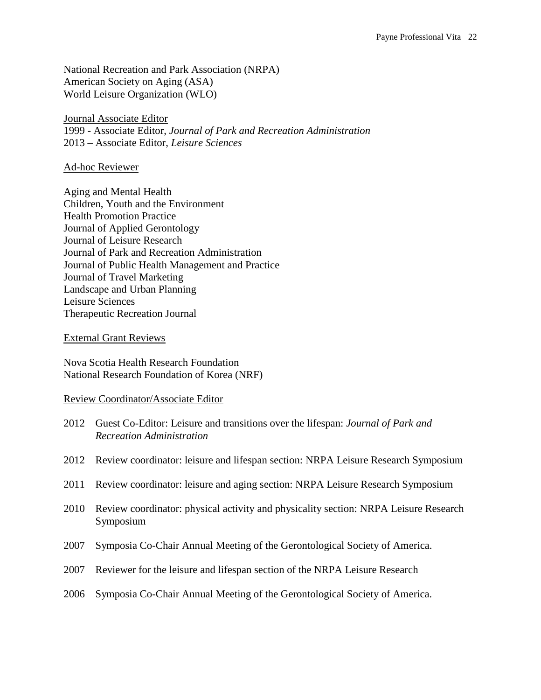National Recreation and Park Association (NRPA) American Society on Aging (ASA) World Leisure Organization (WLO)

Journal Associate Editor 1999 - Associate Editor, *Journal of Park and Recreation Administration* 2013 – Associate Editor, *Leisure Sciences*

### Ad-hoc Reviewer

Aging and Mental Health Children, Youth and the Environment Health Promotion Practice Journal of Applied Gerontology Journal of Leisure Research Journal of Park and Recreation Administration Journal of Public Health Management and Practice Journal of Travel Marketing Landscape and Urban Planning Leisure Sciences Therapeutic Recreation Journal

External Grant Reviews

Nova Scotia Health Research Foundation National Research Foundation of Korea (NRF)

### Review Coordinator/Associate Editor

- 2012 Guest Co-Editor: Leisure and transitions over the lifespan: *Journal of Park and Recreation Administration*
- 2012 Review coordinator: leisure and lifespan section: NRPA Leisure Research Symposium
- 2011 Review coordinator: leisure and aging section: NRPA Leisure Research Symposium
- 2010 Review coordinator: physical activity and physicality section: NRPA Leisure Research Symposium
- 2007 Symposia Co-Chair Annual Meeting of the Gerontological Society of America.
- 2007 Reviewer for the leisure and lifespan section of the NRPA Leisure Research
- 2006 Symposia Co-Chair Annual Meeting of the Gerontological Society of America.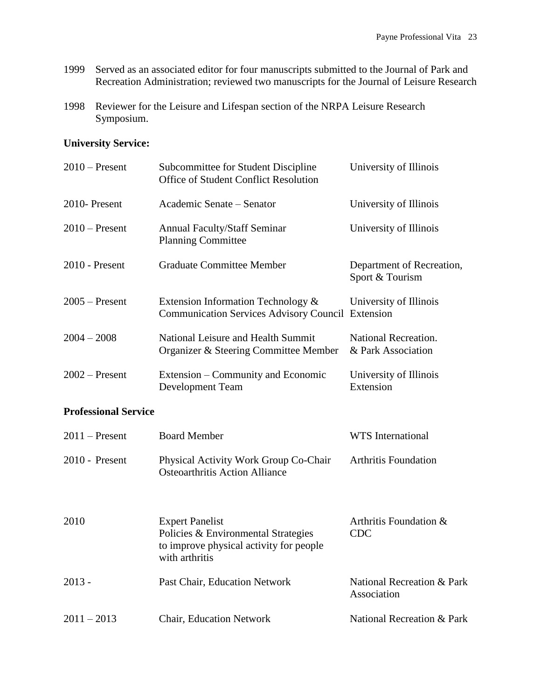- 1999 Served as an associated editor for four manuscripts submitted to the Journal of Park and Recreation Administration; reviewed two manuscripts for the Journal of Leisure Research
- 1998 Reviewer for the Leisure and Lifespan section of the NRPA Leisure Research Symposium.

# **University Service:**

| $2010$ – Present | Subcommittee for Student Discipline<br><b>Office of Student Conflict Resolution</b>            | University of Illinois                       |
|------------------|------------------------------------------------------------------------------------------------|----------------------------------------------|
| 2010-Present     | Academic Senate – Senator                                                                      | University of Illinois                       |
| $2010$ – Present | <b>Annual Faculty/Staff Seminar</b><br><b>Planning Committee</b>                               | University of Illinois                       |
| $2010$ - Present | Graduate Committee Member                                                                      | Department of Recreation,<br>Sport & Tourism |
| $2005$ – Present | Extension Information Technology &<br><b>Communication Services Advisory Council Extension</b> | University of Illinois                       |
| $2004 - 2008$    | National Leisure and Health Summit<br>Organizer & Steering Committee Member                    | National Recreation.<br>& Park Association   |
| $2002$ – Present | Extension – Community and Economic<br>Development Team                                         | University of Illinois<br>Extension          |

### **Professional Service**

| $2011$ – Present | <b>Board Member</b>                                                                                                        | WTS International                                    |
|------------------|----------------------------------------------------------------------------------------------------------------------------|------------------------------------------------------|
| $2010$ - Present | Physical Activity Work Group Co-Chair<br><b>Osteoarthritis Action Alliance</b>                                             | <b>Arthritis Foundation</b>                          |
| 2010             | <b>Expert Panelist</b><br>Policies & Environmental Strategies<br>to improve physical activity for people<br>with arthritis | Arthritis Foundation &<br><b>CDC</b>                 |
| $2013 -$         | Past Chair, Education Network                                                                                              | <b>National Recreation &amp; Park</b><br>Association |
| $2011 - 2013$    | <b>Chair, Education Network</b>                                                                                            | <b>National Recreation &amp; Park</b>                |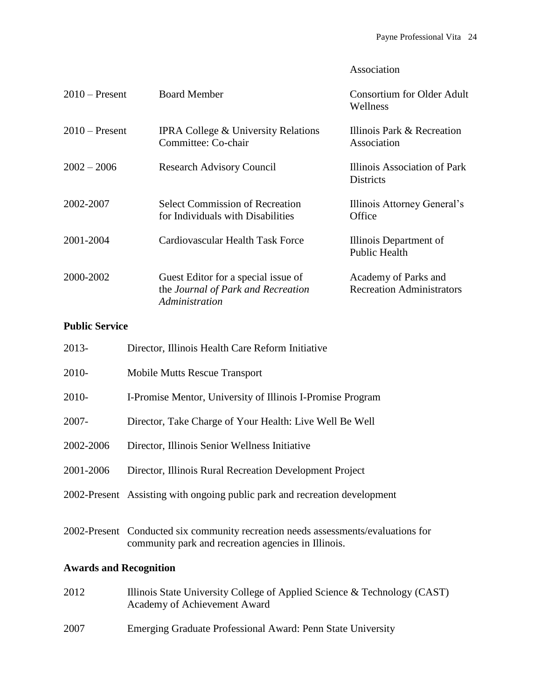## Association

| $2010$ – Present | <b>Board Member</b>                                                                         | <b>Consortium for Older Adult</b><br>Wellness            |
|------------------|---------------------------------------------------------------------------------------------|----------------------------------------------------------|
| $2010$ – Present | <b>IPRA College &amp; University Relations</b><br>Committee: Co-chair                       | Illinois Park & Recreation<br>Association                |
| $2002 - 2006$    | <b>Research Advisory Council</b>                                                            | Illinois Association of Park<br><b>Districts</b>         |
| 2002-2007        | <b>Select Commission of Recreation</b><br>for Individuals with Disabilities                 | Illinois Attorney General's<br>Office                    |
| 2001-2004        | Cardiovascular Health Task Force                                                            | Illinois Department of<br><b>Public Health</b>           |
| 2000-2002        | Guest Editor for a special issue of<br>the Journal of Park and Recreation<br>Administration | Academy of Parks and<br><b>Recreation Administrators</b> |

# **Public Service**

| 2013-                         | Director, Illinois Health Care Reform Initiative                                                                                         |  |
|-------------------------------|------------------------------------------------------------------------------------------------------------------------------------------|--|
| 2010-                         | <b>Mobile Mutts Rescue Transport</b>                                                                                                     |  |
| 2010-                         | I-Promise Mentor, University of Illinois I-Promise Program                                                                               |  |
| 2007-                         | Director, Take Charge of Your Health: Live Well Be Well                                                                                  |  |
| 2002-2006                     | Director, Illinois Senior Wellness Initiative                                                                                            |  |
| 2001-2006                     | Director, Illinois Rural Recreation Development Project                                                                                  |  |
|                               | 2002-Present Assisting with ongoing public park and recreation development                                                               |  |
|                               | 2002-Present Conducted six community recreation needs assessments/evaluations for<br>community park and recreation agencies in Illinois. |  |
| <b>Awards and Recognition</b> |                                                                                                                                          |  |
| 2012                          | Illinois State University College of Applied Science & Technology (CAST)<br>Academy of Achievement Award                                 |  |
| 2007                          | Emerging Graduate Professional Award: Penn State University                                                                              |  |